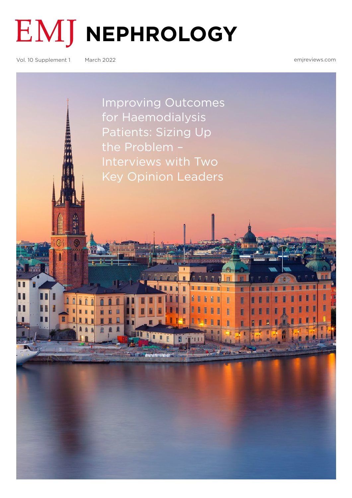

**EMJ NEPHROLOGY** 

Vol. 10 Supplement 1 March 2022

[emjreviews.com](http://www.emjreviews.com)

[Improving Outcomes](#page-1-0)  for Haemodialysis Patients: Sizing Up the Problem – Interviews with Two Key Opinion Leaders

> m Ĥ H H

T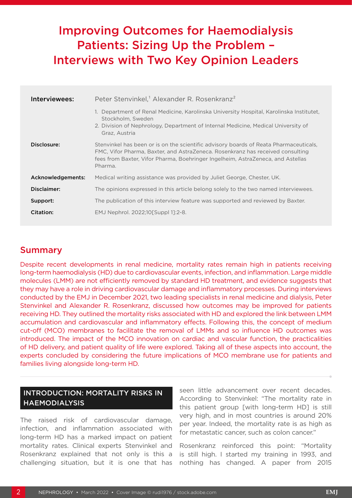# <span id="page-1-0"></span>Improving Outcomes for Haemodialysis Patients: Sizing Up the Problem – Interviews with Two Key Opinion Leaders

| Interviewees:     | Peter Stenvinkel, <sup>1</sup> Alexander R. Rosenkranz <sup>2</sup>                                                                                                                                                                                                   |
|-------------------|-----------------------------------------------------------------------------------------------------------------------------------------------------------------------------------------------------------------------------------------------------------------------|
|                   | 1. Department of Renal Medicine, Karolinska University Hospital, Karolinska Institutet,<br>Stockholm, Sweden<br>2. Division of Nephrology, Department of Internal Medicine, Medical University of<br>Graz, Austria                                                    |
| Disclosure:       | Stenvinkel has been or is on the scientific advisory boards of Reata Pharmaceuticals,<br>FMC, Vifor Pharma, Baxter, and AstraZeneca. Rosenkranz has received consulting<br>fees from Baxter, Vifor Pharma, Boehringer Ingelheim, AstraZeneca, and Astellas<br>Pharma. |
| Acknowledgements: | Medical writing assistance was provided by Juliet George, Chester, UK.                                                                                                                                                                                                |
| Disclaimer:       | The opinions expressed in this article belong solely to the two named interviewees.                                                                                                                                                                                   |
| Support:          | The publication of this interview feature was supported and reviewed by Baxter.                                                                                                                                                                                       |
| Citation:         | EMJ Nephrol. 2022;10[Suppl 1]:2-8.                                                                                                                                                                                                                                    |

# Summary

Despite recent developments in renal medicine, mortality rates remain high in patients receiving long-term haemodialysis (HD) due to cardiovascular events, infection, and inflammation. Large middle molecules (LMM) are not efficiently removed by standard HD treatment, and evidence suggests that they may have a role in driving cardiovascular damage and inflammatory processes. During interviews conducted by the EMJ in December 2021, two leading specialists in renal medicine and dialysis, Peter Stenvinkel and Alexander R. Rosenkranz, discussed how outcomes may be improved for patients receiving HD. They outlined the mortality risks associated with HD and explored the link between LMM accumulation and cardiovascular and inflammatory effects. Following this, the concept of medium cut-off (MCO) membranes to facilitate the removal of LMMs and so influence HD outcomes was introduced. The impact of the MCO innovation on cardiac and vascular function, the practicalities of HD delivery, and patient quality of life were explored. Taking all of these aspects into account, the experts concluded by considering the future implications of MCO membrane use for patients and families living alongside long-term HD.

# INTRODUCTION: MORTALITY RISKS IN **HAEMODIALYSIS**

The raised risk of cardiovascular damage, infection, and inflammation associated with long-term HD has a marked impact on patient mortality rates. Clinical experts Stenvinkel and Rosenkranz explained that not only is this a challenging situation, but it is one that has

seen little advancement over recent decades. According to Stenvinkel: "The mortality rate in this patient group [with long-term HD] is still very high, and in most countries is around 20% per year. Indeed, the mortality rate is as high as for metastatic cancer, such as colon cancer."

Rosenkranz reinforced this point: "Mortality is still high. I started my training in 1993, and nothing has changed. A paper from 2015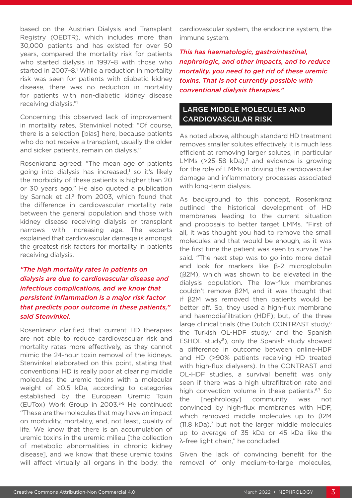based on the Austrian Dialysis and Transplant Registry (OEDTR), which includes more than 30,000 patients and has existed for over 50 years, compared the mortality risk for patients who started dialysis in 1997–8 with those who started in 2007-8.<sup>1</sup> While a reduction in mortality risk was seen for patients with diabetic kidney disease, there was no reduction in mortality for patients with non-diabetic kidney disease receiving dialysis."1

Concerning this observed lack of improvement in mortality rates, Stenvinkel noted: "Of course, there is a selection [bias] here, because patients who do not receive a transplant, usually the older and sicker patients, remain on dialysis."

Rosenkranz agreed: "The mean age of patients going into dialysis has increased,<sup>1</sup> so it's likely the morbidity of these patients is higher than 20 or 30 years ago." He also quoted a publication by Sarnak et al.<sup>2</sup> from 2003, which found that the difference in cardiovascular mortality rate between the general population and those with kidney disease receiving dialysis or transplant narrows with increasing age. The experts explained that cardiovascular damage is amongst the greatest risk factors for mortality in patients receiving dialysis.

# *"The high mortality rates in patients on dialysis are due to cardiovascular disease and infectious complications, and we know that persistent inflammation is a major risk factor that predicts poor outcome in these patients," said Stenvinkel.*

Rosenkranz clarified that current HD therapies are not able to reduce cardiovascular risk and mortality rates more effectively, as they cannot mimic the 24-hour toxin removal of the kidneys. Stenvinkel elaborated on this point, stating that conventional HD is really poor at clearing middle molecules; the uremic toxins with a molecular weight of ≥0.5 kDa, according to categories established by the European Uremic Toxin (EUTox) Work Group in 2003.3-5 He continued: "These are the molecules that may have an impact on morbidity, mortality, and, not least, quality of life. We know that there is an accumulation of uremic toxins in the uremic milieu [the collection of metabolic abnormalities in chronic kidney disease], and we know that these uremic toxins will affect virtually all organs in the body: the

cardiovascular system, the endocrine system, the immune system.

*This has haematologic, gastrointestinal, nephrologic, and other impacts, and to reduce mortality, you need to get rid of these uremic toxins. That is not currently possible with conventional dialysis therapies."*

### LARGE MIDDLE MOLECULES AND CARDIOVASCULAR RISK

As noted above, although standard HD treatment removes smaller solutes effectively, it is much less efficient at removing larger solutes, in particular LMMs  $(>25-58$  kDa),<sup>3</sup> and evidence is growing for the role of LMMs in driving the cardiovascular damage and inflammatory processes associated with long-term dialysis.

As background to this concept, Rosenkranz outlined the historical development of HD membranes leading to the current situation and proposals to better target LMMs. "First of all, it was thought you had to remove the small molecules and that would be enough, as it was the first time the patient was seen to survive," he said. "The next step was to go into more detail and look for markers like β-2 microglobulin (β2M), which was shown to be elevated in the dialysis population. The low-flux membranes couldn't remove β2M, and it was thought that if β2M was removed then patients would be better off. So, they used a high-flux membrane and haemodiafiltration (HDF); but, of the three large clinical trials (the Dutch CONTRAST study,<sup>6</sup> the Turkish OL-HDF study, $<sup>7</sup>$  and the Spanish</sup> ESHOL study<sup>8</sup>), only the Spanish study showed a difference in outcome between online-HDF and HD (>90% patients receiving HD treated with high-flux dialysers). In the CONTRAST and OL-HDF studies, a survival benefit was only seen if there was a high ultrafiltration rate and high convection volume in these patients.<sup>6,7</sup> So the [nephrology] community was not convinced by high-flux membranes with HDF, which removed middle molecules up to β2M  $(11.8 \text{ kDa})$ <sup>3</sup> but not the larger middle molecules up to average of 35 kDa or 45 kDa like the λ-free light chain," he concluded.

Given the lack of convincing benefit for the removal of only medium-to-large molecules,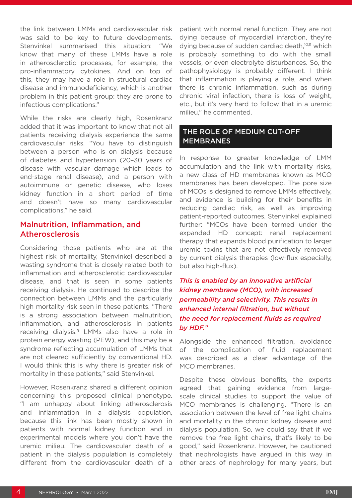the link between LMMs and cardiovascular risk was said to be key to future developments. Stenvinkel summarised this situation: "We know that many of these LMMs have a role in atherosclerotic processes, for example, the pro-inflammatory cytokines. And on top of this, they may have a role in structural cardiac disease and immunodeficiency, which is another problem in this patient group: they are prone to infectious complications."

While the risks are clearly high, Rosenkranz added that it was important to know that not all patients receiving dialysis experience the same cardiovascular risks. "You have to distinguish between a person who is on dialysis because of diabetes and hypertension (20–30 years of disease with vascular damage which leads to end-stage renal disease), and a person with autoimmune or genetic disease, who loses kidney function in a short period of time and doesn't have so many cardiovascular complications," he said.

### Malnutrition, Inflammation, and Atherosclerosis

Considering those patients who are at the highest risk of mortality, Stenvinkel described a wasting syndrome that is closely related both to inflammation and atherosclerotic cardiovascular disease, and that is seen in some patients receiving dialysis. He continued to describe the connection between LMMs and the particularly high mortality risk seen in these patients. "There is a strong association between malnutrition, inflammation, and atherosclerosis in patients receiving dialysis.9 LMMs also have a role in protein energy wasting (PEW), and this may be a syndrome reflecting accumulation of LMMs that are not cleared sufficiently by conventional HD. I would think this is why there is greater risk of mortality in these patients," said Stenvinkel.

However, Rosenkranz shared a different opinion concerning this proposed clinical phenotype. "I am unhappy about linking atherosclerosis and inflammation in a dialysis population, because this link has been mostly shown in patients with normal kidney function and in experimental models where you don't have the uremic milieu. The cardiovascular death of a patient in the dialysis population is completely different from the cardiovascular death of a

patient with normal renal function. They are not dying because of myocardial infarction, they're dying because of sudden cardiac death,<sup>10,11</sup> which is probably something to do with the small vessels, or even electrolyte disturbances. So, the pathophysiology is probably different. I think that inflammation is playing a role, and when there is chronic inflammation, such as during chronic viral infection, there is loss of weight, etc., but it's very hard to follow that in a uremic milieu," he commented.

#### THE ROLE OF MEDIUM CUT-OFF **MEMBRANES**

In response to greater knowledge of LMM accumulation and the link with mortality risks, a new class of HD membranes known as MCO membranes has been developed. The pore size of MCOs is designed to remove LMMs effectively, and evidence is building for their benefits in reducing cardiac risk, as well as improving patient-reported outcomes. Stenvinkel explained further: "MCOs have been termed under the expanded HD concept: renal replacement therapy that expands blood purification to larger uremic toxins that are not effectively removed by current dialysis therapies (low-flux especially, but also high-flux).

# *This is enabled by an innovative artificial kidney membrane (MCO), with increased permeability and selectivity. This results in enhanced internal filtration, but without the need for replacement fluids as required by HDF."*

Alongside the enhanced filtration, avoidance of the complication of fluid replacement was described as a clear advantage of the MCO membranes.

Despite these obvious benefits, the experts agreed that gaining evidence from largescale clinical studies to support the value of MCO membranes is challenging. "There is an association between the level of free light chains and mortality in the chronic kidney disease and dialysis population. So, we could say that if we remove the free light chains, that's likely to be good," said Rosenkranz. However, he cautioned that nephrologists have argued in this way in other areas of nephrology for many years, but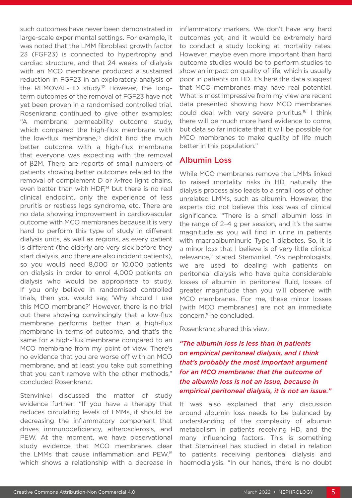such outcomes have never been demonstrated in large-scale experimental settings. For example, it was noted that the LMM fibroblast growth factor 23 (FGF23) is connected to hypertrophy and cardiac structure, and that 24 weeks of dialysis with an MCO membrane produced a sustained reduction in FGF23 in an exploratory analysis of the REMOVAL-HD study.12 However, the longterm outcomes of the removal of FGF23 have not yet been proven in a randomised controlled trial. Rosenkranz continued to give other examples: "A membrane permeability outcome study, which compared the high-flux membrane with the low-flux membrane, $13$  didn't find the much better outcome with a high-flux membrane that everyone was expecting with the removal of β2M. There are reports of small numbers of patients showing better outcomes related to the removal of complement D or λ-free light chains, even better than with  $HDF<sub>14</sub>$  but there is no real clinical endpoint, only the experience of less pruritis or restless legs syndrome, etc. There are no data showing improvement in cardiovascular outcome with MCO membranes because it is very hard to perform this type of study in different dialysis units, as well as regions, as every patient is different (the elderly are very sick before they start dialysis, and there are also incident patients), so you would need 8,000 or 10,000 patients on dialysis in order to enrol 4,000 patients on dialysis who would be appropriate to study. If you only believe in randomised controlled trials, then you would say, 'Why should I use this MCO membrane?' However, there is no trial out there showing convincingly that a low-flux membrane performs better than a high-flux membrane in terms of outcome, and that's the same for a high-flux membrane compared to an MCO membrane from my point of view. There's no evidence that you are worse off with an MCO membrane, and at least you take out something that you can't remove with the other methods," concluded Rosenkranz.

Stenvinkel discussed the matter of study evidence further: "If you have a therapy that reduces circulating levels of LMMs, it should be decreasing the inflammatory component that drives immunodeficiency, atherosclerosis, and PEW. At the moment, we have observational study evidence that MCO membranes clear the LMMs that cause inflammation and PEW,15 which shows a relationship with a decrease in

inflammatory markers. We don't have any hard outcomes yet, and it would be extremely hard to conduct a study looking at mortality rates. However, maybe even more important than hard outcome studies would be to perform studies to show an impact on quality of life, which is usually poor in patients on HD. It's here the data suggest that MCO membranes may have real potential. What is most impressive from my view are recent data presented showing how MCO membranes could deal with very severe pruritus.<sup>16</sup> I think there will be much more hard evidence to come, but data so far indicate that it will be possible for MCO membranes to make quality of life much better in this population."

#### Albumin Loss

While MCO membranes remove the LMMs linked to raised mortality risks in HD, naturally the dialysis process also leads to a small loss of other unrelated LMMs, such as albumin. However, the experts did not believe this loss was of clinical significance. "There is a small albumin loss in the range of 2–4 g per session, and it's the same magnitude as you will find in urine in patients with macroalbuminuric Type 1 diabetes. So, it is a minor loss that I believe is of very little clinical relevance," stated Stenvinkel. "As nephrologists, we are used to dealing with patients on peritoneal dialysis who have quite considerable losses of albumin in peritoneal fluid, losses of greater magnitude than you will observe with MCO membranes. For me, these minor losses [with MCO membranes] are not an immediate concern," he concluded.

Rosenkranz shared this view:

*"The albumin loss is less than in patients on empirical peritoneal dialysis, and I think that's probably the most important argument for an MCO membrane: that the outcome of the albumin loss is not an issue, because in empirical peritoneal dialysis, it is not an issue."*

It was also explained that any discussion around albumin loss needs to be balanced by understanding of the complexity of albumin metabolism in patients receiving HD, and the many influencing factors. This is something that Stenvinkel has studied in detail in relation to patients receiving peritoneal dialysis and haemodialysis. "In our hands, there is no doubt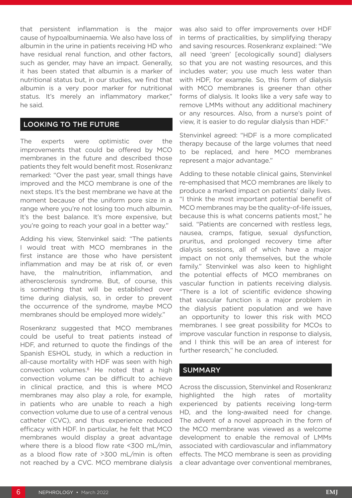that persistent inflammation is the major cause of hypoalbuminaemia. We also have loss of albumin in the urine in patients receiving HD who have residual renal function, and other factors, such as gender, may have an impact. Generally, it has been stated that albumin is a marker of nutritional status but, in our studies, we find that albumin is a very poor marker for nutritional status. It's merely an inflammatory marker," he said.

# LOOKING TO THE FUTURE

The experts were optimistic over the improvements that could be offered by MCO membranes in the future and described those patients they felt would benefit most. Rosenkranz remarked: "Over the past year, small things have improved and the MCO membrane is one of the next steps. It's the best membrane we have at the moment because of the uniform pore size in a range where you're not losing too much albumin. It's the best balance. It's more expensive, but you're going to reach your goal in a better way."

Adding his view, Stenvinkel said: "The patients I would treat with MCO membranes in the first instance are those who have persistent inflammation and may be at risk of, or even have, the malnutrition, inflammation, and atherosclerosis syndrome. But, of course, this is something that will be established over time during dialysis, so, in order to prevent the occurrence of the syndrome, maybe MCO membranes should be employed more widely."

Rosenkranz suggested that MCO membranes could be useful to treat patients instead of HDF, and returned to quote the findings of the Spanish ESHOL study, in which a reduction in all-cause mortality with HDF was seen with high convection volumes.8 He noted that a high convection volume can be difficult to achieve in clinical practice, and this is where MCO membranes may also play a role, for example, in patients who are unable to reach a high convection volume due to use of a central venous catheter (CVC), and thus experience reduced efficacy with HDF. In particular, he felt that MCO membranes would display a great advantage where there is a blood flow rate <300 mL/min, as a blood flow rate of >300 mL/min is often not reached by a CVC. MCO membrane dialysis

was also said to offer improvements over HDF in terms of practicalities, by simplifying therapy and saving resources. Rosenkranz explained: "We all need 'green' [ecologically sound] dialysers so that you are not wasting resources, and this includes water; you use much less water than with HDF, for example. So, this form of dialysis with MCO membranes is greener than other forms of dialysis. It looks like a very safe way to remove LMMs without any additional machinery or any resources. Also, from a nurse's point of view, it is easier to do regular dialysis than HDF."

Stenvinkel agreed: "HDF is a more complicated therapy because of the large volumes that need to be replaced, and here MCO membranes represent a major advantage."

Adding to these notable clinical gains, Stenvinkel re-emphasised that MCO membranes are likely to produce a marked impact on patients' daily lives. "I think the most important potential benefit of MCO membranes may be the quality-of-life issues, because this is what concerns patients most," he said. "Patients are concerned with restless legs, nausea, cramps, fatigue, sexual dysfunction, pruritus, and prolonged recovery time after dialysis sessions, all of which have a major impact on not only themselves, but the whole family." Stenvinkel was also keen to highlight the potential effects of MCO membranes on vascular function in patients receiving dialysis. "There is a lot of scientific evidence showing that vascular function is a major problem in the dialysis patient population and we have an opportunity to lower this risk with MCO membranes. I see great possibility for MCOs to improve vascular function in response to dialysis, and I think this will be an area of interest for further research," he concluded.

#### SUMMARY

Across the discussion, Stenvinkel and Rosenkranz highlighted the high rates of mortality experienced by patients receiving long-term HD, and the long-awaited need for change. The advent of a novel approach in the form of the MCO membrane was viewed as a welcome development to enable the removal of LMMs associated with cardiovascular and inflammatory effects. The MCO membrane is seen as providing a clear advantage over conventional membranes,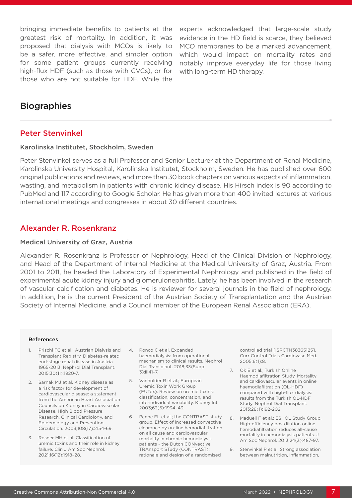bringing immediate benefits to patients at the greatest risk of mortality. In addition, it was proposed that dialysis with MCOs is likely to be a safer, more effective, and simpler option for some patient groups currently receiving high-flux HDF (such as those with CVCs), or for those who are not suitable for HDF. While the

experts acknowledged that large-scale study evidence in the HD field is scarce, they believed MCO membranes to be a marked advancement, which would impact on mortality rates and notably improve everyday life for those living with long-term HD therapy.

# **Biographies**

#### Peter Stenvinkel

#### Karolinska Institutet, Stockholm, Sweden

Peter Stenvinkel serves as a full Professor and Senior Lecturer at the Department of Renal Medicine, Karolinska University Hospital, Karolinska Institutet, Stockholm, Sweden. He has published over 600 original publications and reviews, and more than 30 book chapters on various aspects of inflammation, wasting, and metabolism in patients with chronic kidney disease. His Hirsch index is 90 according to PubMed and 117 according to Google Scholar. He has given more than 400 invited lectures at various international meetings and congresses in about 30 different countries.

#### Alexander R. Rosenkranz

#### Medical University of Graz, Austria

Alexander R. Rosenkranz is Professor of Nephrology, Head of the Clinical Division of Nephrology, and Head of the Department of Internal Medicine at the Medical University of Graz, Austria. From 2001 to 2011, he headed the Laboratory of Experimental Nephrology and published in the field of experimental acute kidney injury and glomerulonephritis. Lately, he has been involved in the research of vascular calcification and diabetes. He is reviewer for several journals in the field of nephrology. In addition, he is the current President of the Austrian Society of Transplantation and the Austrian Society of Internal Medicine, and a Council member of the European Renal Association (ERA).

#### References

- 1. Prischl FC et al.; Austrian Dialysis and Transplant Registry. Diabetes-related end-stage renal disease in Austria 1965-2013. Nephrol Dial Transplant. 2015;30(11):1920-7.
- 2. Sarnak MJ et al. Kidney disease as a risk factor for development of cardiovascular disease: a statement from the American Heart Association Councils on Kidney in Cardiovascular Disease, High Blood Pressure Research, Clinical Cardiology, and Epidemiology and Prevention. Circulation. 2003;108(17):2154-69.
- 3. Rosner MH et al. Classification of uremic toxins and their role in kidney failure. Clin J Am Soc Nephrol. 2021;16(12):1918–28.
- 4. Ronco C et al. Expanded haemodialysis: from operational mechanism to clinical results. Nephrol Dial Transplant. 2018;33(Suppl 3):iii41–7.
- 5. Vanholder R et al.; European Uremic Toxin Work Group (EUTox). Review on uremic toxins: classification, concentration, and interindividual variability. Kidney Int. 2003;63(5):1934–43.
- 6. Penne EL et al.; the CONTRAST study group. Effect of increased convective clearance by on-line hemodiafiltration on all cause and cardiovascular mortality in chronic hemodialysis patients - the Dutch CONvective TRAnsport STudy (CONTRAST): rationale and design of a randomised

controlled trial [ISRCTN38365125]. Curr Control Trials Cardiovasc Med. 2005;6(1):8.

- 7. Ok E et al.; Turkish Online Haemodiafiltration Study. Mortality and cardiovascular events in online haemodiafiltration (OL-HDF) compared with high-flux dialysis: results from the Turkish OL-HDF Study. Nephrol Dial Transplant. 2013;28(1):192-202.
- 8. Maduell F et al.; ESHOL Study Group. High-efficiency postdilution online hemodiafiltration reduces all-cause mortality in hemodialysis patients. J Am Soc Nephrol. 2013;24(3):487-97.
- 9. Stenvinkel P et al. Strong association between malnutrition, inflammation,